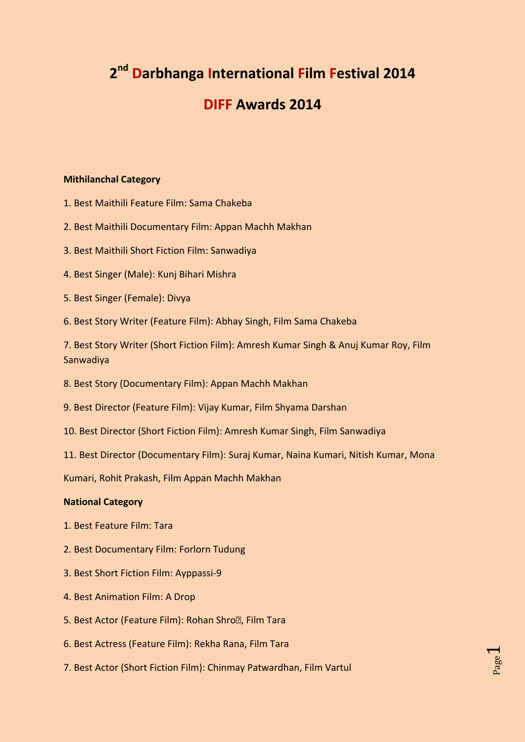# **2 nd Darbhanga International Film Festival 2014**

# **DIFF Awards 2014**

## **Mithilanchal Category**

- 1. Best Maithili Feature Film: Sama Chakeba
- 2. Best Maithili Documentary Film: Appan Machh Makhan
- 3. Best Maithili Short Fiction Film: Sanwadiya
- 4. Best Singer (Male): Kunj Bihari Mishra
- 5. Best Singer (Female): Divya
- 6. Best Story Writer (Feature Film): Abhay Singh, Film Sama Chakeba

7. Best Story Writer (Short Fiction Film): Amresh Kumar Singh & Anuj Kumar Roy, Film Sanwadiya

- 8. Best Story (Documentary Film): Appan Machh Makhan
- 9. Best Director (Feature Film): Vijay Kumar, Film Shyama Darshan
- 10. Best Director (Short Fiction Film): Amresh Kumar Singh, Film Sanwadiya
- 11. Best Director (Documentary Film): Suraj Kumar, Naina Kumari, Nitish Kumar, Mona

Page  $\overline{\phantom{0}}$ 

Kumari, Rohit Prakash, Film Appan Machh Makhan

### **National Category**

- 1. Best Feature Film: Tara
- 2. Best Documentary Film: Forlorn Tudung
- 3. Best Short Fiction Film: Ayppassi-9
- 4. Best Animation Film: A Drop
- 5. Best Actor (Feature Film): Rohan Shro<sup>n</sup>, Film Tara
- 6. Best Actress (Feature Film): Rekha Rana, Film Tara
- 7. Best Actor (Short Fiction Film): Chinmay Patwardhan, Film Vartul